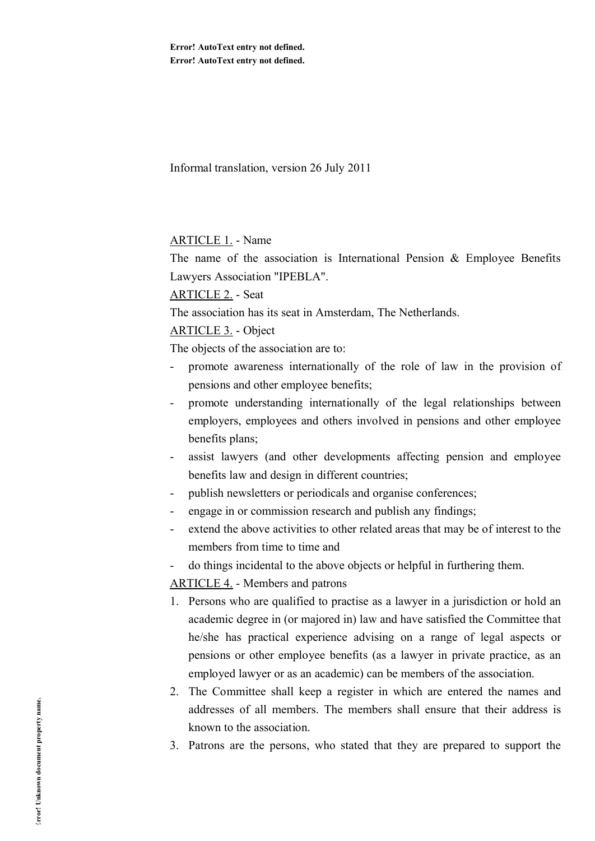Informal translation, version 26 July 2011

### ARTICLE 1. - Name

The name of the association is International Pension  $\&$  Employee Benefits Lawyers Association "IPEBLA".

## ARTICLE 2. - Seat

The association has its seat in Amsterdam, The Netherlands.

## ARTICLE 3. - Object

The objects of the association are to:

- promote awareness internationally of the role of law in the provision of pensions and other employee benefits;
- promote understanding internationally of the legal relationships between employers, employees and others involved in pensions and other employee benefits plans;
- assist lawyers (and other developments affecting pension and employee benefits law and design in different countries;
- publish newsletters or periodicals and organise conferences;
- engage in or commission research and publish any findings;
- extend the above activities to other related areas that may be of interest to the members from time to time and
- do things incidental to the above objects or helpful in furthering them.

ARTICLE 4. - Members and patrons

- 1. Persons who are qualified to practise as a lawyer in a jurisdiction or hold an academic degree in (or majored in) law and have satisfied the Committee that he/she has practical experience advising on a range of legal aspects or pensions or other employee benefits (as a lawyer in private practice, as an employed lawyer or as an academic) can be members of the association.
- 2. The Committee shall keep a register in which are entered the names and addresses of all members. The members shall ensure that their address is known to the association.
- 3. Patrons are the persons, who stated that they are prepared to support the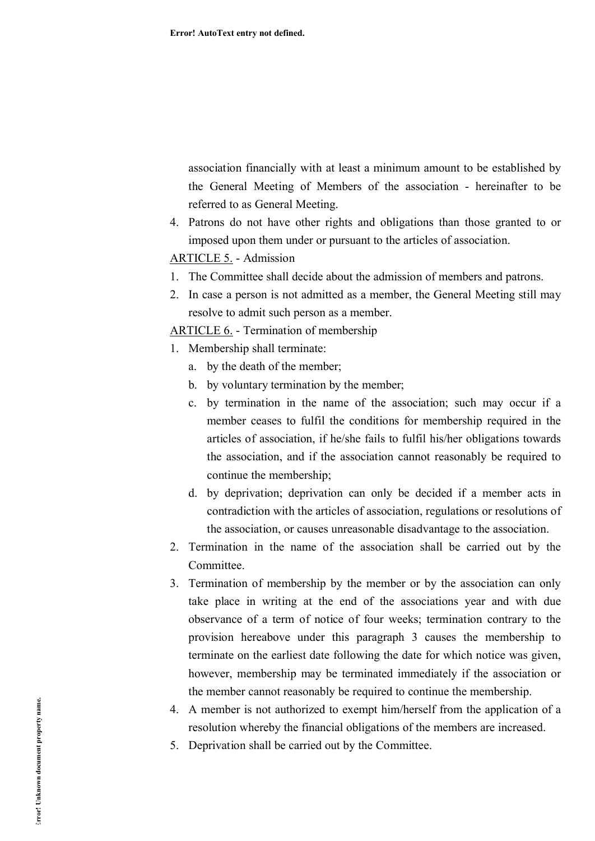association financially with at least a minimum amount to be established by the General Meeting of Members of the association - hereinafter to be referred to as General Meeting.

4. Patrons do not have other rights and obligations than those granted to or imposed upon them under or pursuant to the articles of association.

# ARTICLE 5. - Admission

- 1. The Committee shall decide about the admission of members and patrons.
- 2. In case a person is not admitted as a member, the General Meeting still may resolve to admit such person as a member.

ARTICLE 6. - Termination of membership

- 1. Membership shall terminate:
	- a. by the death of the member;
	- b. by voluntary termination by the member;
	- c. by termination in the name of the association; such may occur if a member ceases to fulfil the conditions for membership required in the articles of association, if he/she fails to fulfil his/her obligations towards the association, and if the association cannot reasonably be required to continue the membership;
	- d. by deprivation; deprivation can only be decided if a member acts in contradiction with the articles of association, regulations or resolutions of the association, or causes unreasonable disadvantage to the association.
- 2. Termination in the name of the association shall be carried out by the Committee.
- 3. Termination of membership by the member or by the association can only take place in writing at the end of the associations year and with due observance of a term of notice of four weeks; termination contrary to the provision hereabove under this paragraph 3 causes the membership to terminate on the earliest date following the date for which notice was given, however, membership may be terminated immediately if the association or the member cannot reasonably be required to continue the membership.
- 4. A member is not authorized to exempt him/herself from the application of a resolution whereby the financial obligations of the members are increased.
- 5. Deprivation shall be carried out by the Committee.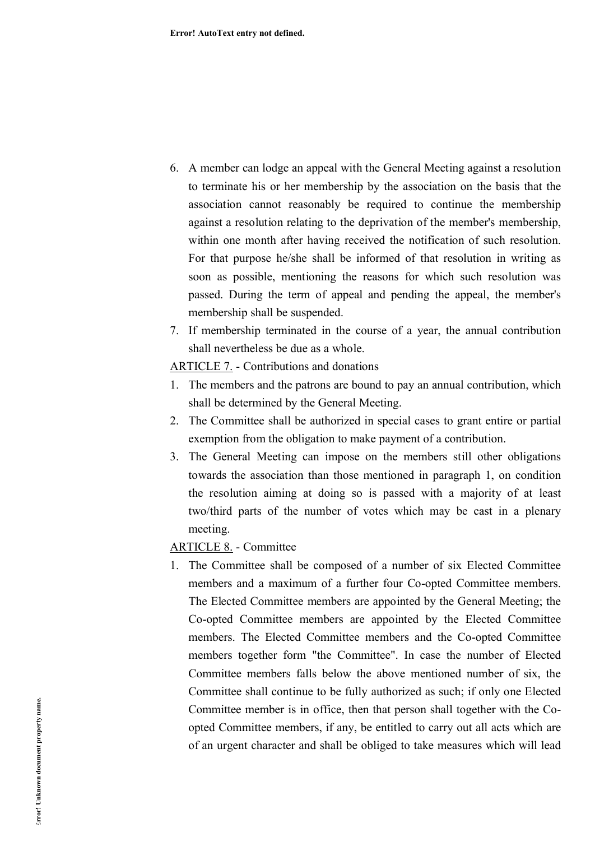- 6. A member can lodge an appeal with the General Meeting against a resolution to terminate his or her membership by the association on the basis that the association cannot reasonably be required to continue the membership against a resolution relating to the deprivation of the member's membership, within one month after having received the notification of such resolution. For that purpose he/she shall be informed of that resolution in writing as soon as possible, mentioning the reasons for which such resolution was passed. During the term of appeal and pending the appeal, the member's membership shall be suspended.
- 7. If membership terminated in the course of a year, the annual contribution shall nevertheless be due as a whole.

ARTICLE 7. - Contributions and donations

- 1. The members and the patrons are bound to pay an annual contribution, which shall be determined by the General Meeting.
- 2. The Committee shall be authorized in special cases to grant entire or partial exemption from the obligation to make payment of a contribution.
- 3. The General Meeting can impose on the members still other obligations towards the association than those mentioned in paragraph 1, on condition the resolution aiming at doing so is passed with a majority of at least two/third parts of the number of votes which may be cast in a plenary meeting.

## ARTICLE 8. - Committee

1. The Committee shall be composed of a number of six Elected Committee members and a maximum of a further four Co-opted Committee members. The Elected Committee members are appointed by the General Meeting; the Co-opted Committee members are appointed by the Elected Committee members. The Elected Committee members and the Co-opted Committee members together form "the Committee". In case the number of Elected Committee members falls below the above mentioned number of six, the Committee shall continue to be fully authorized as such; if only one Elected Committee member is in office, then that person shall together with the Coopted Committee members, if any, be entitled to carry out all acts which are of an urgent character and shall be obliged to take measures which will lead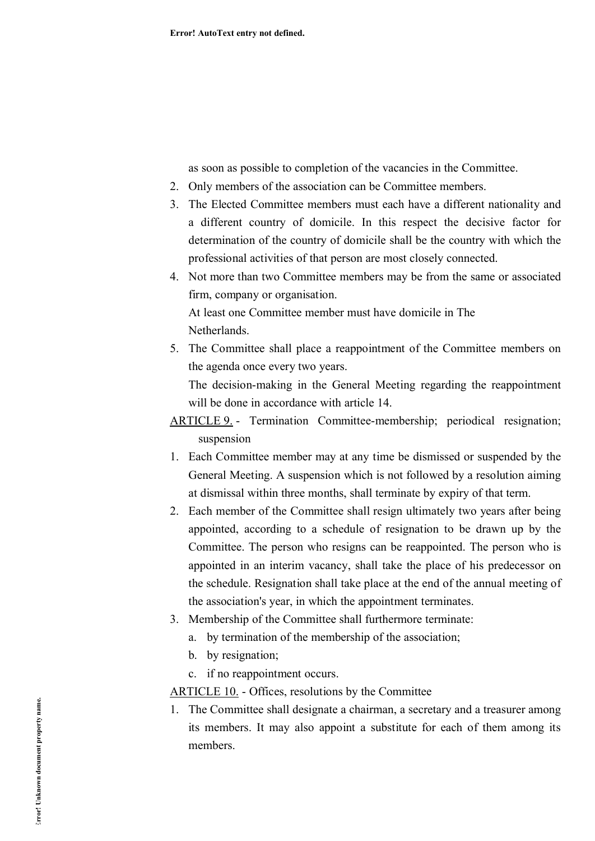as soon as possible to completion of the vacancies in the Committee.

- 2. Only members of the association can be Committee members.
- 3. The Elected Committee members must each have a different nationality and a different country of domicile. In this respect the decisive factor for determination of the country of domicile shall be the country with which the professional activities of that person are most closely connected.
- 4. Not more than two Committee members may be from the same or associated firm, company or organisation. At least one Committee member must have domicile in The

**Netherlands** 

5. The Committee shall place a reappointment of the Committee members on the agenda once every two years.

The decision-making in the General Meeting regarding the reappointment will be done in accordance with article 14.

ARTICLE 9. - Termination Committee-membership; periodical resignation; suspension

- 1. Each Committee member may at any time be dismissed or suspended by the General Meeting. A suspension which is not followed by a resolution aiming at dismissal within three months, shall terminate by expiry of that term.
- 2. Each member of the Committee shall resign ultimately two years after being appointed, according to a schedule of resignation to be drawn up by the Committee. The person who resigns can be reappointed. The person who is appointed in an interim vacancy, shall take the place of his predecessor on the schedule. Resignation shall take place at the end of the annual meeting of the association's year, in which the appointment terminates.
- 3. Membership of the Committee shall furthermore terminate:
	- a. by termination of the membership of the association;
	- b. by resignation;
	- c. if no reappointment occurs.

ARTICLE 10. - Offices, resolutions by the Committee

1. The Committee shall designate a chairman, a secretary and a treasurer among its members. It may also appoint a substitute for each of them among its members.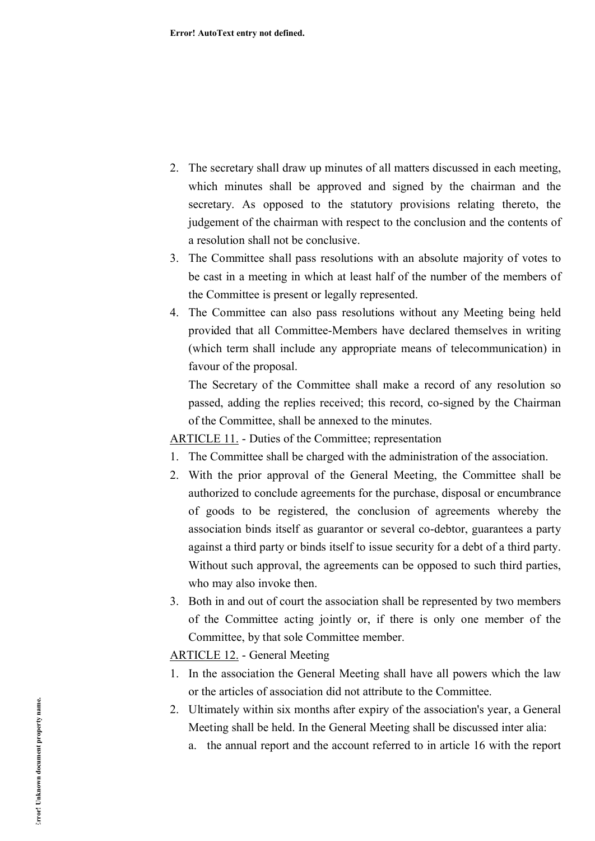- 2. The secretary shall draw up minutes of all matters discussed in each meeting, which minutes shall be approved and signed by the chairman and the secretary. As opposed to the statutory provisions relating thereto, the judgement of the chairman with respect to the conclusion and the contents of a resolution shall not be conclusive.
- 3. The Committee shall pass resolutions with an absolute majority of votes to be cast in a meeting in which at least half of the number of the members of the Committee is present or legally represented.
- 4. The Committee can also pass resolutions without any Meeting being held provided that all Committee-Members have declared themselves in writing (which term shall include any appropriate means of telecommunication) in favour of the proposal.

The Secretary of the Committee shall make a record of any resolution so passed, adding the replies received; this record, co-signed by the Chairman of the Committee, shall be annexed to the minutes.

ARTICLE 11. - Duties of the Committee; representation

- 1. The Committee shall be charged with the administration of the association.
- 2. With the prior approval of the General Meeting, the Committee shall be authorized to conclude agreements for the purchase, disposal or encumbrance of goods to be registered, the conclusion of agreements whereby the association binds itself as guarantor or several co-debtor, guarantees a party against a third party or binds itself to issue security for a debt of a third party. Without such approval, the agreements can be opposed to such third parties, who may also invoke then.
- 3. Both in and out of court the association shall be represented by two members of the Committee acting jointly or, if there is only one member of the Committee, by that sole Committee member.

ARTICLE 12. - General Meeting

- 1. In the association the General Meeting shall have all powers which the law or the articles of association did not attribute to the Committee.
- 2. Ultimately within six months after expiry of the association's year, a General Meeting shall be held. In the General Meeting shall be discussed inter alia:
	- a. the annual report and the account referred to in article 16 with the report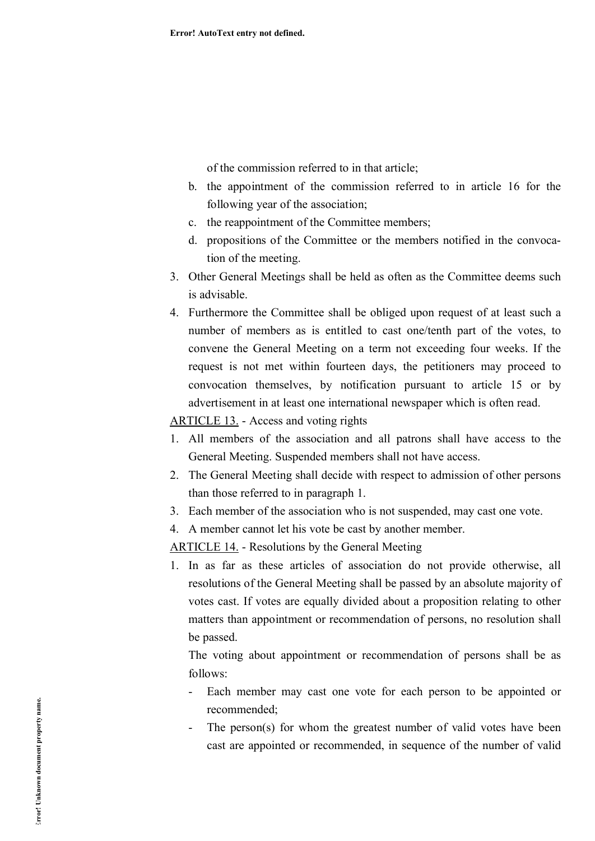of the commission referred to in that article;

- b. the appointment of the commission referred to in article 16 for the following year of the association;
- c. the reappointment of the Committee members;
- d. propositions of the Committee or the members notified in the convocation of the meeting.
- 3. Other General Meetings shall be held as often as the Committee deems such is advisable.
- 4. Furthermore the Committee shall be obliged upon request of at least such a number of members as is entitled to cast one/tenth part of the votes, to convene the General Meeting on a term not exceeding four weeks. If the request is not met within fourteen days, the petitioners may proceed to convocation themselves, by notification pursuant to article 15 or by advertisement in at least one international newspaper which is often read.

ARTICLE 13. - Access and voting rights

- 1. All members of the association and all patrons shall have access to the General Meeting. Suspended members shall not have access.
- 2. The General Meeting shall decide with respect to admission of other persons than those referred to in paragraph 1.
- 3. Each member of the association who is not suspended, may cast one vote.
- 4. A member cannot let his vote be cast by another member.

ARTICLE 14. - Resolutions by the General Meeting

1. In as far as these articles of association do not provide otherwise, all resolutions of the General Meeting shall be passed by an absolute majority of votes cast. If votes are equally divided about a proposition relating to other matters than appointment or recommendation of persons, no resolution shall be passed.

The voting about appointment or recommendation of persons shall be as follows:

- Each member may cast one vote for each person to be appointed or recommended;
- The person(s) for whom the greatest number of valid votes have been cast are appointed or recommended, in sequence of the number of valid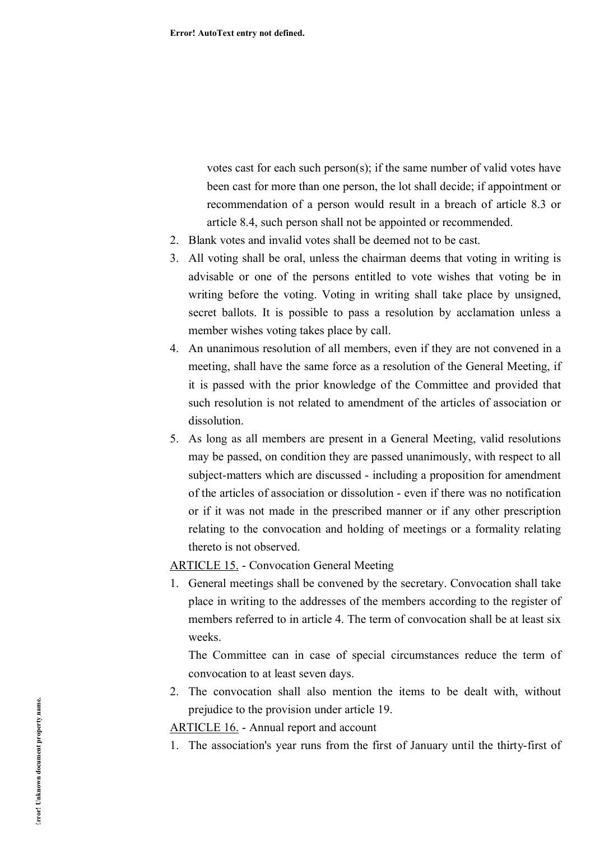votes cast for each such person(s); if the same number of valid votes have been cast for more than one person, the lot shall decide; if appointment or recommendation of a person would result in a breach of article 8.3 or article 8.4, such person shall not be appointed or recommended.

- 2. Blank votes and invalid votes shall be deemed not to be cast.
- 3. All voting shall be oral, unless the chairman deems that voting in writing is advisable or one of the persons entitled to vote wishes that voting be in writing before the voting. Voting in writing shall take place by unsigned, secret ballots. It is possible to pass a resolution by acclamation unless a member wishes voting takes place by call.
- 4. An unanimous resolution of all members, even if they are not convened in a meeting, shall have the same force as a resolution of the General Meeting, if it is passed with the prior knowledge of the Committee and provided that such resolution is not related to amendment of the articles of association or dissolution.
- 5. As long as all members are present in a General Meeting, valid resolutions may be passed, on condition they are passed unanimously, with respect to all subject-matters which are discussed - including a proposition for amendment of the articles of association or dissolution - even if there was no notification or if it was not made in the prescribed manner or if any other prescription relating to the convocation and holding of meetings or a formality relating thereto is not observed.

### ARTICLE 15. - Convocation General Meeting

1. General meetings shall be convened by the secretary. Convocation shall take place in writing to the addresses of the members according to the register of members referred to in article 4. The term of convocation shall be at least six weeks.

The Committee can in case of special circumstances reduce the term of convocation to at least seven days.

2. The convocation shall also mention the items to be dealt with, without prejudice to the provision under article 19.

ARTICLE 16. - Annual report and account

1. The association's year runs from the first of January until the thirty-first of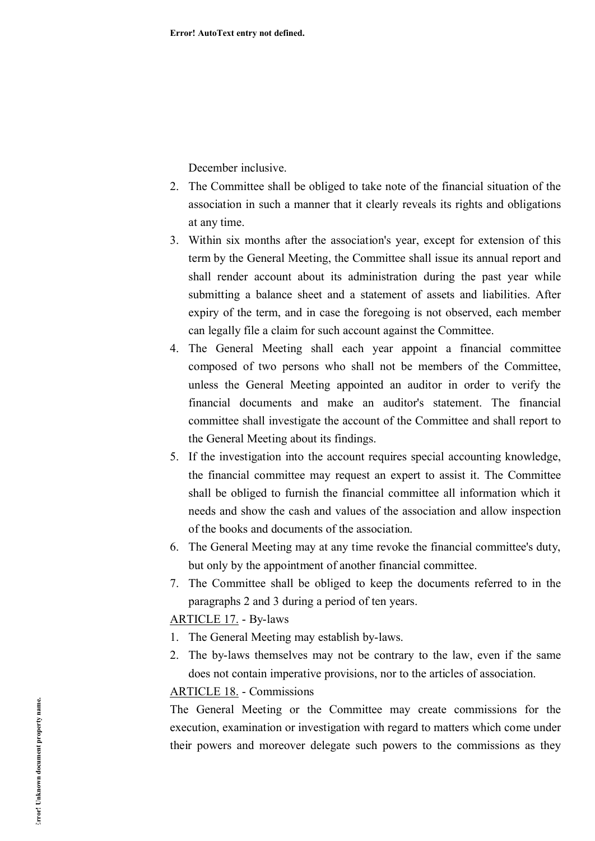December inclusive.

- 2. The Committee shall be obliged to take note of the financial situation of the association in such a manner that it clearly reveals its rights and obligations at any time.
- 3. Within six months after the association's year, except for extension of this term by the General Meeting, the Committee shall issue its annual report and shall render account about its administration during the past year while submitting a balance sheet and a statement of assets and liabilities. After expiry of the term, and in case the foregoing is not observed, each member can legally file a claim for such account against the Committee.
- 4. The General Meeting shall each year appoint a financial committee composed of two persons who shall not be members of the Committee, unless the General Meeting appointed an auditor in order to verify the financial documents and make an auditor's statement. The financial committee shall investigate the account of the Committee and shall report to the General Meeting about its findings.
- 5. If the investigation into the account requires special accounting knowledge, the financial committee may request an expert to assist it. The Committee shall be obliged to furnish the financial committee all information which it needs and show the cash and values of the association and allow inspection of the books and documents of the association.
- 6. The General Meeting may at any time revoke the financial committee's duty, but only by the appointment of another financial committee.
- 7. The Committee shall be obliged to keep the documents referred to in the paragraphs 2 and 3 during a period of ten years.

ARTICLE 17. - By-laws

- 1. The General Meeting may establish by-laws.
- 2. The by-laws themselves may not be contrary to the law, even if the same does not contain imperative provisions, nor to the articles of association.

### ARTICLE 18. - Commissions

The General Meeting or the Committee may create commissions for the execution, examination or investigation with regard to matters which come under their powers and moreover delegate such powers to the commissions as they